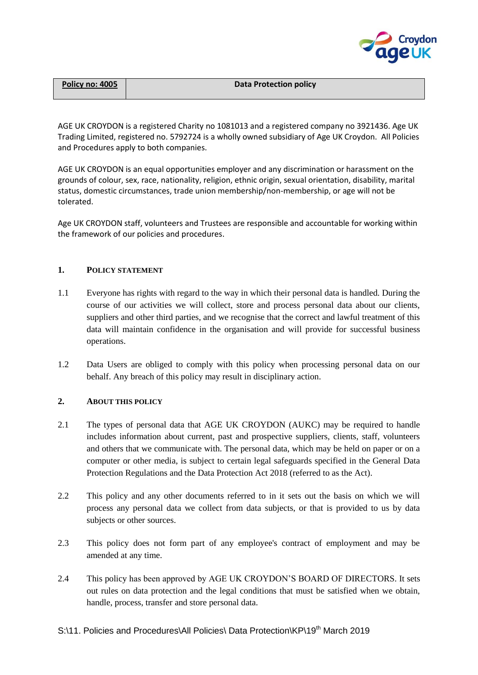

| Policy no: 4005 | <b>Data Protection policy</b> |
|-----------------|-------------------------------|
|                 |                               |

AGE UK CROYDON is a registered Charity no 1081013 and a registered company no 3921436. Age UK Trading Limited, registered no. 5792724 is a wholly owned subsidiary of Age UK Croydon. All Policies and Procedures apply to both companies.

AGE UK CROYDON is an equal opportunities employer and any discrimination or harassment on the grounds of colour, sex, race, nationality, religion, ethnic origin, sexual orientation, disability, marital status, domestic circumstances, trade union membership/non-membership, or age will not be tolerated.

Age UK CROYDON staff, volunteers and Trustees are responsible and accountable for working within the framework of our policies and procedures.

### **1. POLICY STATEMENT**

- 1.1 Everyone has rights with regard to the way in which their personal data is handled. During the course of our activities we will collect, store and process personal data about our clients, suppliers and other third parties, and we recognise that the correct and lawful treatment of this data will maintain confidence in the organisation and will provide for successful business operations.
- 1.2 Data Users are obliged to comply with this policy when processing personal data on our behalf. Any breach of this policy may result in disciplinary action.

### **2. ABOUT THIS POLICY**

- 2.1 The types of personal data that AGE UK CROYDON (AUKC) may be required to handle includes information about current, past and prospective suppliers, clients, staff, volunteers and others that we communicate with. The personal data, which may be held on paper or on a computer or other media, is subject to certain legal safeguards specified in the General Data Protection Regulations and the Data Protection Act 2018 (referred to as the Act).
- 2.2 This policy and any other documents referred to in it sets out the basis on which we will process any personal data we collect from data subjects, or that is provided to us by data subjects or other sources.
- 2.3 This policy does not form part of any employee's contract of employment and may be amended at any time.
- 2.4 This policy has been approved by AGE UK CROYDON'S BOARD OF DIRECTORS. It sets out rules on data protection and the legal conditions that must be satisfied when we obtain, handle, process, transfer and store personal data.

## S:\11. Policies and Procedures\All Policies\ Data Protection\KP\19<sup>th</sup> March 2019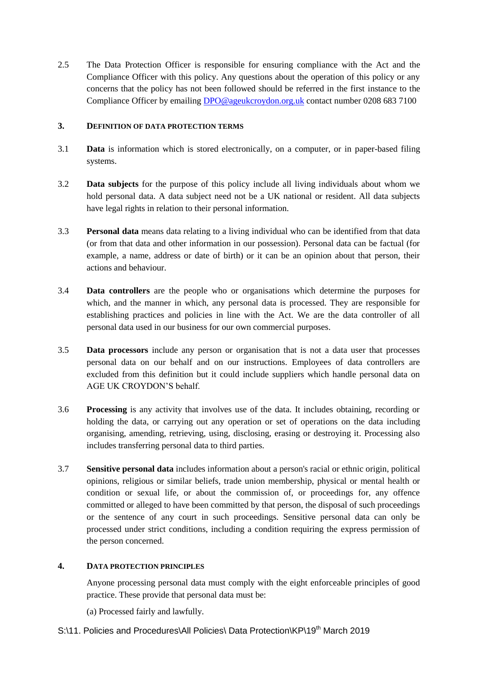2.5 The Data Protection Officer is responsible for ensuring compliance with the Act and the Compliance Officer with this policy. Any questions about the operation of this policy or any concerns that the policy has not been followed should be referred in the first instance to the Compliance Officer by emailing [DPO@ageukcroydon.org.uk](mailto:DPO@ageukcroydon.org.uk) contact number 0208 683 7100

#### **3. DEFINITION OF DATA PROTECTION TERMS**

- 3.1 **Data** is information which is stored electronically, on a computer, or in paper-based filing systems.
- 3.2 **Data subjects** for the purpose of this policy include all living individuals about whom we hold personal data. A data subject need not be a UK national or resident. All data subjects have legal rights in relation to their personal information.
- 3.3 **Personal data** means data relating to a living individual who can be identified from that data (or from that data and other information in our possession). Personal data can be factual (for example, a name, address or date of birth) or it can be an opinion about that person, their actions and behaviour.
- 3.4 **Data controllers** are the people who or organisations which determine the purposes for which, and the manner in which, any personal data is processed. They are responsible for establishing practices and policies in line with the Act. We are the data controller of all personal data used in our business for our own commercial purposes.
- 3.5 **Data processors** include any person or organisation that is not a data user that processes personal data on our behalf and on our instructions. Employees of data controllers are excluded from this definition but it could include suppliers which handle personal data on AGE UK CROYDON'S behalf.
- 3.6 **Processing** is any activity that involves use of the data. It includes obtaining, recording or holding the data, or carrying out any operation or set of operations on the data including organising, amending, retrieving, using, disclosing, erasing or destroying it. Processing also includes transferring personal data to third parties.
- 3.7 **Sensitive personal data** includes information about a person's racial or ethnic origin, political opinions, religious or similar beliefs, trade union membership, physical or mental health or condition or sexual life, or about the commission of, or proceedings for, any offence committed or alleged to have been committed by that person, the disposal of such proceedings or the sentence of any court in such proceedings. Sensitive personal data can only be processed under strict conditions, including a condition requiring the express permission of the person concerned.

### **4. DATA PROTECTION PRINCIPLES**

Anyone processing personal data must comply with the eight enforceable principles of good practice. These provide that personal data must be:

- (a) Processed fairly and lawfully.
- S:\11. Policies and Procedures\All Policies\ Data Protection\KP\19<sup>th</sup> March 2019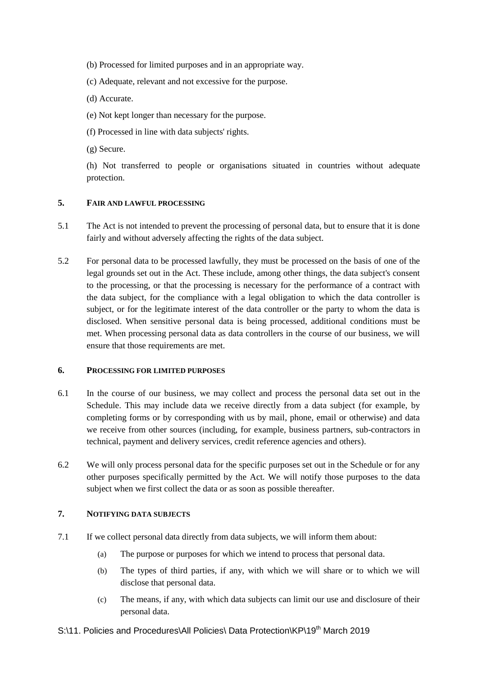- (b) Processed for limited purposes and in an appropriate way.
- (c) Adequate, relevant and not excessive for the purpose.
- (d) Accurate.
- (e) Not kept longer than necessary for the purpose.
- (f) Processed in line with data subjects' rights.
- (g) Secure.

(h) Not transferred to people or organisations situated in countries without adequate protection.

#### **5. FAIR AND LAWFUL PROCESSING**

- 5.1 The Act is not intended to prevent the processing of personal data, but to ensure that it is done fairly and without adversely affecting the rights of the data subject.
- 5.2 For personal data to be processed lawfully, they must be processed on the basis of one of the legal grounds set out in the Act. These include, among other things, the data subject's consent to the processing, or that the processing is necessary for the performance of a contract with the data subject, for the compliance with a legal obligation to which the data controller is subject, or for the legitimate interest of the data controller or the party to whom the data is disclosed. When sensitive personal data is being processed, additional conditions must be met. When processing personal data as data controllers in the course of our business, we will ensure that those requirements are met.

#### **6. PROCESSING FOR LIMITED PURPOSES**

- 6.1 In the course of our business, we may collect and process the personal data set out in the Schedule. This may include data we receive directly from a data subject (for example, by completing forms or by corresponding with us by mail, phone, email or otherwise) and data we receive from other sources (including, for example, business partners, sub-contractors in technical, payment and delivery services, credit reference agencies and others).
- 6.2 We will only process personal data for the specific purposes set out in the Schedule or for any other purposes specifically permitted by the Act. We will notify those purposes to the data subject when we first collect the data or as soon as possible thereafter.

#### **7. NOTIFYING DATA SUBJECTS**

- 7.1 If we collect personal data directly from data subjects, we will inform them about:
	- (a) The purpose or purposes for which we intend to process that personal data.
	- (b) The types of third parties, if any, with which we will share or to which we will disclose that personal data.
	- (c) The means, if any, with which data subjects can limit our use and disclosure of their personal data.

# S:\11. Policies and Procedures\All Policies\ Data Protection\KP\19<sup>th</sup> March 2019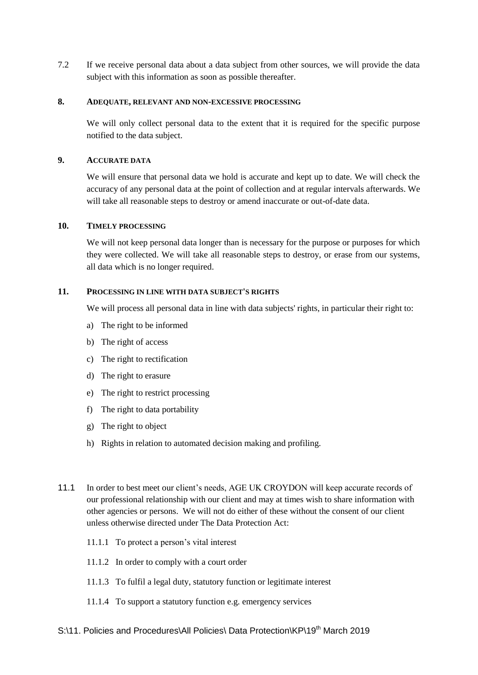7.2 If we receive personal data about a data subject from other sources, we will provide the data subject with this information as soon as possible thereafter.

#### **8. ADEQUATE, RELEVANT AND NON-EXCESSIVE PROCESSING**

We will only collect personal data to the extent that it is required for the specific purpose notified to the data subject.

#### **9. ACCURATE DATA**

We will ensure that personal data we hold is accurate and kept up to date. We will check the accuracy of any personal data at the point of collection and at regular intervals afterwards. We will take all reasonable steps to destroy or amend inaccurate or out-of-date data.

#### **10. TIMELY PROCESSING**

We will not keep personal data longer than is necessary for the purpose or purposes for which they were collected. We will take all reasonable steps to destroy, or erase from our systems, all data which is no longer required.

#### **11. PROCESSING IN LINE WITH DATA SUBJECT'S RIGHTS**

We will process all personal data in line with data subjects' rights, in particular their right to:

- a) The right to be informed
- b) The right of access
- c) The right to rectification
- d) The right to erasure
- e) The right to restrict processing
- f) The right to data portability
- g) The right to object
- h) Rights in relation to automated decision making and profiling.
- 11.1 In order to best meet our client's needs, AGE UK CROYDON will keep accurate records of our professional relationship with our client and may at times wish to share information with other agencies or persons. We will not do either of these without the consent of our client unless otherwise directed under The Data Protection Act:
	- 11.1.1 To protect a person's vital interest
	- 11.1.2 In order to comply with a court order
	- 11.1.3 To fulfil a legal duty, statutory function or legitimate interest
	- 11.1.4 To support a statutory function e.g. emergency services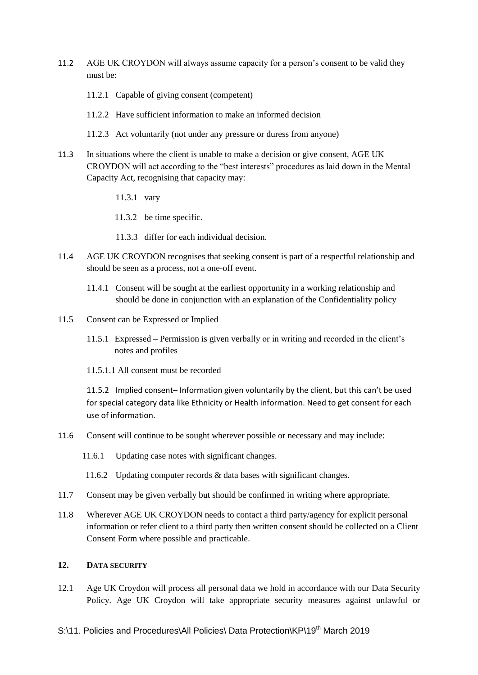- 11.2 AGE UK CROYDON will always assume capacity for a person's consent to be valid they must be:
	- 11.2.1 Capable of giving consent (competent)
	- 11.2.2 Have sufficient information to make an informed decision
	- 11.2.3 Act voluntarily (not under any pressure or duress from anyone)
- 11.3 In situations where the client is unable to make a decision or give consent, AGE UK CROYDON will act according to the "best interests" procedures as laid down in the Mental Capacity Act, recognising that capacity may:
	- 11.3.1 vary
	- 11.3.2 be time specific.
	- 11.3.3 differ for each individual decision.
- 11.4 AGE UK CROYDON recognises that seeking consent is part of a respectful relationship and should be seen as a process, not a one-off event.
	- 11.4.1 Consent will be sought at the earliest opportunity in a working relationship and should be done in conjunction with an explanation of the Confidentiality policy
- 11.5 Consent can be Expressed or Implied
	- 11.5.1 Expressed Permission is given verbally or in writing and recorded in the client's notes and profiles
	- 11.5.1.1 All consent must be recorded

 11.5.2 Implied consent– Information given voluntarily by the client, but this can't be used for special category data like Ethnicity or Health information. Need to get consent for each use of information.

- 11.6 Consent will continue to be sought wherever possible or necessary and may include:
	- 11.6.1 Updating case notes with significant changes.
	- 11.6.2 Updating computer records & data bases with significant changes.
- 11.7 Consent may be given verbally but should be confirmed in writing where appropriate.
- 11.8 Wherever AGE UK CROYDON needs to contact a third party/agency for explicit personal information or refer client to a third party then written consent should be collected on a Client Consent Form where possible and practicable.

#### **12. DATA SECURITY**

12.1 Age UK Croydon will process all personal data we hold in accordance with our Data Security Policy. Age UK Croydon will take appropriate security measures against unlawful or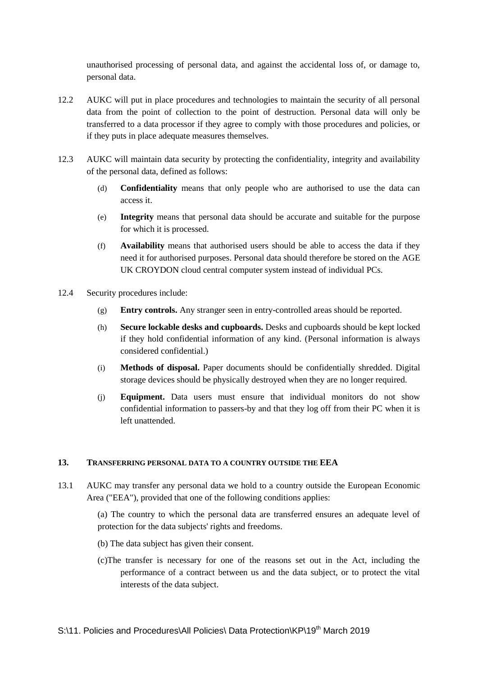unauthorised processing of personal data, and against the accidental loss of, or damage to, personal data.

- 12.2 AUKC will put in place procedures and technologies to maintain the security of all personal data from the point of collection to the point of destruction. Personal data will only be transferred to a data processor if they agree to comply with those procedures and policies, or if they puts in place adequate measures themselves.
- 12.3 AUKC will maintain data security by protecting the confidentiality, integrity and availability of the personal data, defined as follows:
	- (d) **Confidentiality** means that only people who are authorised to use the data can access it.
	- (e) **Integrity** means that personal data should be accurate and suitable for the purpose for which it is processed.
	- (f) **Availability** means that authorised users should be able to access the data if they need it for authorised purposes. Personal data should therefore be stored on the AGE UK CROYDON cloud central computer system instead of individual PCs.
- 12.4 Security procedures include:
	- (g) **Entry controls.** Any stranger seen in entry-controlled areas should be reported.
	- (h) **Secure lockable desks and cupboards.** Desks and cupboards should be kept locked if they hold confidential information of any kind. (Personal information is always considered confidential.)
	- (i) **Methods of disposal.** Paper documents should be confidentially shredded. Digital storage devices should be physically destroyed when they are no longer required.
	- (j) **Equipment.** Data users must ensure that individual monitors do not show confidential information to passers-by and that they log off from their PC when it is left unattended.

#### **13. TRANSFERRING PERSONAL DATA TO A COUNTRY OUTSIDE THE EEA**

13.1 AUKC may transfer any personal data we hold to a country outside the European Economic Area ("EEA"), provided that one of the following conditions applies:

> (a) The country to which the personal data are transferred ensures an adequate level of protection for the data subjects' rights and freedoms.

- (b) The data subject has given their consent.
- (c)The transfer is necessary for one of the reasons set out in the Act, including the performance of a contract between us and the data subject, or to protect the vital interests of the data subject.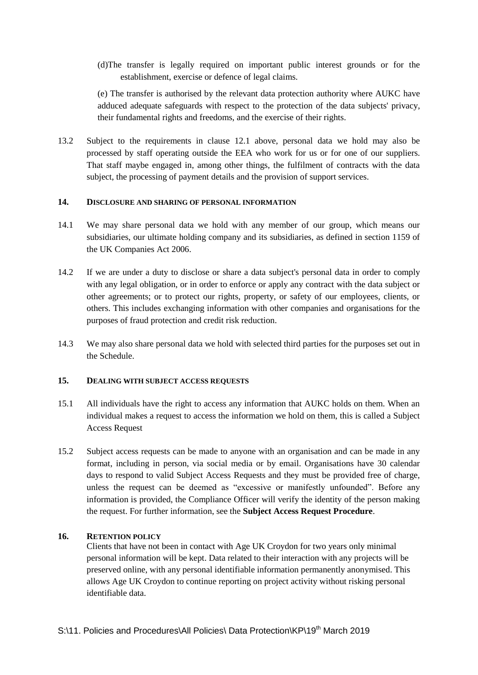(d)The transfer is legally required on important public interest grounds or for the establishment, exercise or defence of legal claims.

(e) The transfer is authorised by the relevant data protection authority where AUKC have adduced adequate safeguards with respect to the protection of the data subjects' privacy, their fundamental rights and freedoms, and the exercise of their rights.

13.2 Subject to the requirements in clause 12.1 above, personal data we hold may also be processed by staff operating outside the EEA who work for us or for one of our suppliers. That staff maybe engaged in, among other things, the fulfilment of contracts with the data subject, the processing of payment details and the provision of support services.

### **14. DISCLOSURE AND SHARING OF PERSONAL INFORMATION**

- 14.1 We may share personal data we hold with any member of our group, which means our subsidiaries, our ultimate holding company and its subsidiaries, as defined in section 1159 of the UK Companies Act 2006.
- 14.2 If we are under a duty to disclose or share a data subject's personal data in order to comply with any legal obligation, or in order to enforce or apply any contract with the data subject or other agreements; or to protect our rights, property, or safety of our employees, clients, or others. This includes exchanging information with other companies and organisations for the purposes of fraud protection and credit risk reduction.
- 14.3 We may also share personal data we hold with selected third parties for the purposes set out in the Schedule.

#### **15. DEALING WITH SUBJECT ACCESS REQUESTS**

- 15.1 All individuals have the right to access any information that AUKC holds on them. When an individual makes a request to access the information we hold on them, this is called a Subject Access Request
- 15.2 Subject access requests can be made to anyone with an organisation and can be made in any format, including in person, via social media or by email. Organisations have 30 calendar days to respond to valid Subject Access Requests and they must be provided free of charge, unless the request can be deemed as "excessive or manifestly unfounded". Before any information is provided, the Compliance Officer will verify the identity of the person making the request. For further information, see the **Subject Access Request Procedure**.

#### **16. RETENTION POLICY**

Clients that have not been in contact with Age UK Croydon for two years only minimal personal information will be kept. Data related to their interaction with any projects will be preserved online, with any personal identifiable information permanently anonymised. This allows Age UK Croydon to continue reporting on project activity without risking personal identifiable data.